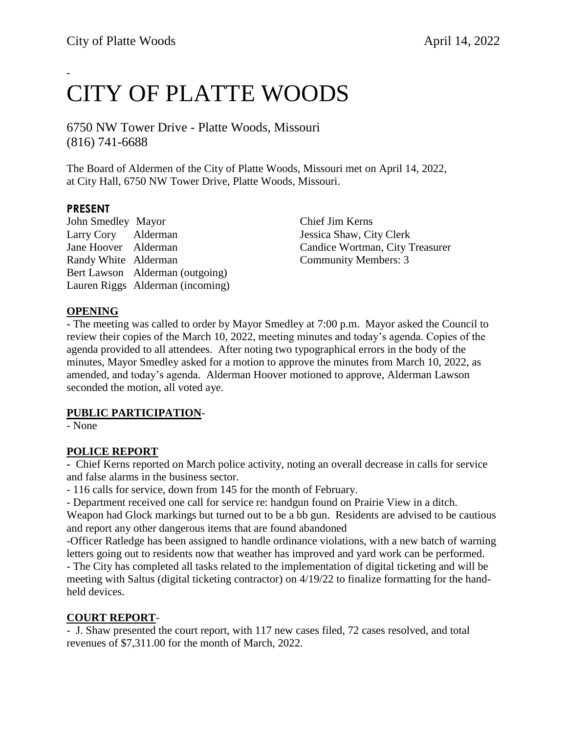## - CITY OF PLATTE WOODS

6750 NW Tower Drive - Platte Woods, Missouri (816) 741-6688

The Board of Aldermen of the City of Platte Woods, Missouri met on April 14, 2022, at City Hall, 6750 NW Tower Drive, Platte Woods, Missouri.

#### **PRESENT**

John Smedley Mayor Chief Jim Kerns Larry Cory Alderman Jessica Shaw, City Clerk Jane Hoover Alderman Candice Wortman, City Treasurer Randy White Alderman Community Members: 3 Bert Lawson Alderman (outgoing) Lauren Riggs Alderman (incoming)

#### **OPENING**

**-** The meeting was called to order by Mayor Smedley at 7:00 p.m. Mayor asked the Council to review their copies of the March 10, 2022, meeting minutes and today's agenda. Copies of the agenda provided to all attendees. After noting two typographical errors in the body of the minutes, Mayor Smedley asked for a motion to approve the minutes from March 10, 2022, as amended, and today's agenda. Alderman Hoover motioned to approve, Alderman Lawson seconded the motion, all voted aye.

#### **PUBLIC PARTICIPATION**-

- None

#### **POLICE REPORT**

**-** Chief Kerns reported on March police activity, noting an overall decrease in calls for service and false alarms in the business sector.

- 116 calls for service, down from 145 for the month of February.

- Department received one call for service re: handgun found on Prairie View in a ditch.

Weapon had Glock markings but turned out to be a bb gun. Residents are advised to be cautious and report any other dangerous items that are found abandoned

-Officer Ratledge has been assigned to handle ordinance violations, with a new batch of warning letters going out to residents now that weather has improved and yard work can be performed.

- The City has completed all tasks related to the implementation of digital ticketing and will be meeting with Saltus (digital ticketing contractor) on 4/19/22 to finalize formatting for the handheld devices.

#### **COURT REPORT**-

- J. Shaw presented the court report, with 117 new cases filed, 72 cases resolved, and total revenues of \$7,311.00 for the month of March, 2022.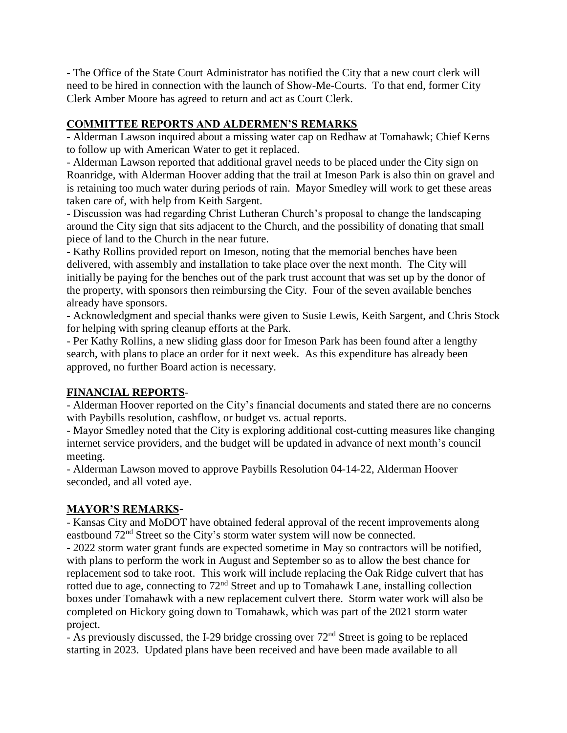- The Office of the State Court Administrator has notified the City that a new court clerk will need to be hired in connection with the launch of Show-Me-Courts. To that end, former City Clerk Amber Moore has agreed to return and act as Court Clerk.

## **COMMITTEE REPORTS AND ALDERMEN'S REMARKS**

- Alderman Lawson inquired about a missing water cap on Redhaw at Tomahawk; Chief Kerns to follow up with American Water to get it replaced.

- Alderman Lawson reported that additional gravel needs to be placed under the City sign on Roanridge, with Alderman Hoover adding that the trail at Imeson Park is also thin on gravel and is retaining too much water during periods of rain. Mayor Smedley will work to get these areas taken care of, with help from Keith Sargent.

- Discussion was had regarding Christ Lutheran Church's proposal to change the landscaping around the City sign that sits adjacent to the Church, and the possibility of donating that small piece of land to the Church in the near future.

- Kathy Rollins provided report on Imeson, noting that the memorial benches have been delivered, with assembly and installation to take place over the next month. The City will initially be paying for the benches out of the park trust account that was set up by the donor of the property, with sponsors then reimbursing the City. Four of the seven available benches already have sponsors.

- Acknowledgment and special thanks were given to Susie Lewis, Keith Sargent, and Chris Stock for helping with spring cleanup efforts at the Park.

- Per Kathy Rollins, a new sliding glass door for Imeson Park has been found after a lengthy search, with plans to place an order for it next week. As this expenditure has already been approved, no further Board action is necessary.

## **FINANCIAL REPORTS**-

- Alderman Hoover reported on the City's financial documents and stated there are no concerns with Paybills resolution, cashflow, or budget vs. actual reports.

- Mayor Smedley noted that the City is exploring additional cost-cutting measures like changing internet service providers, and the budget will be updated in advance of next month's council meeting.

- Alderman Lawson moved to approve Paybills Resolution 04-14-22, Alderman Hoover seconded, and all voted aye.

## **MAYOR'S REMARKS-**

- Kansas City and MoDOT have obtained federal approval of the recent improvements along eastbound  $72<sup>nd</sup>$  Street so the City's storm water system will now be connected.

- 2022 storm water grant funds are expected sometime in May so contractors will be notified, with plans to perform the work in August and September so as to allow the best chance for replacement sod to take root. This work will include replacing the Oak Ridge culvert that has rotted due to age, connecting to 72nd Street and up to Tomahawk Lane, installing collection boxes under Tomahawk with a new replacement culvert there. Storm water work will also be completed on Hickory going down to Tomahawk, which was part of the 2021 storm water project.

- As previously discussed, the I-29 bridge crossing over  $72<sup>nd</sup>$  Street is going to be replaced starting in 2023. Updated plans have been received and have been made available to all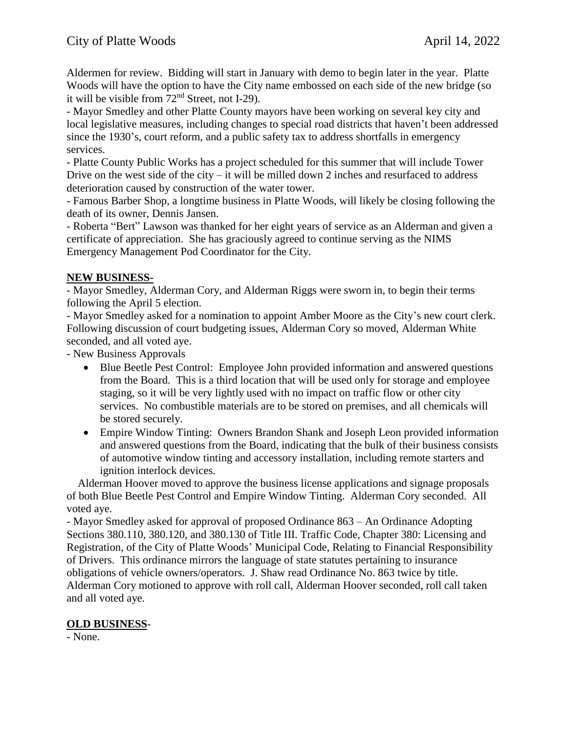Aldermen for review. Bidding will start in January with demo to begin later in the year. Platte Woods will have the option to have the City name embossed on each side of the new bridge (so it will be visible from 72nd Street, not I-29).

- Mayor Smedley and other Platte County mayors have been working on several key city and local legislative measures, including changes to special road districts that haven't been addressed since the 1930's, court reform, and a public safety tax to address shortfalls in emergency services.

- Platte County Public Works has a project scheduled for this summer that will include Tower Drive on the west side of the city – it will be milled down 2 inches and resurfaced to address deterioration caused by construction of the water tower.

- Famous Barber Shop, a longtime business in Platte Woods, will likely be closing following the death of its owner, Dennis Jansen.

- Roberta "Bert" Lawson was thanked for her eight years of service as an Alderman and given a certificate of appreciation. She has graciously agreed to continue serving as the NIMS Emergency Management Pod Coordinator for the City.

## **NEW BUSINESS-**

- Mayor Smedley, Alderman Cory, and Alderman Riggs were sworn in, to begin their terms following the April 5 election.

- Mayor Smedley asked for a nomination to appoint Amber Moore as the City's new court clerk. Following discussion of court budgeting issues, Alderman Cory so moved, Alderman White seconded, and all voted aye.

- New Business Approvals

- Blue Beetle Pest Control: Employee John provided information and answered questions from the Board. This is a third location that will be used only for storage and employee staging, so it will be very lightly used with no impact on traffic flow or other city services. No combustible materials are to be stored on premises, and all chemicals will be stored securely.
- Empire Window Tinting: Owners Brandon Shank and Joseph Leon provided information and answered questions from the Board, indicating that the bulk of their business consists of automotive window tinting and accessory installation, including remote starters and ignition interlock devices.

 Alderman Hoover moved to approve the business license applications and signage proposals of both Blue Beetle Pest Control and Empire Window Tinting. Alderman Cory seconded. All voted aye.

- Mayor Smedley asked for approval of proposed Ordinance 863 – An Ordinance Adopting Sections 380.110, 380.120, and 380.130 of Title III. Traffic Code, Chapter 380: Licensing and Registration, of the City of Platte Woods' Municipal Code, Relating to Financial Responsibility of Drivers. This ordinance mirrors the language of state statutes pertaining to insurance obligations of vehicle owners/operators. J. Shaw read Ordinance No. 863 twice by title. Alderman Cory motioned to approve with roll call, Alderman Hoover seconded, roll call taken and all voted aye.

## **OLD BUSINESS**-

- None.